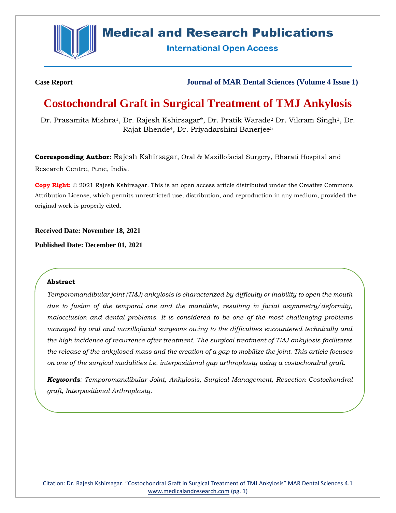

## **Medical and Research Publications**

**International Open Access** 

**Case Report Journal of MAR Dental Sciences (Volume 4 Issue 1)**

# **Costochondral Graft in Surgical Treatment of TMJ Ankylosis**

Dr. Prasamita Mishra<sup>1</sup>, Dr. Rajesh Kshirsagar\*, Dr. Pratik Warade<sup>2</sup> Dr. Vikram Singh<sup>3</sup>, Dr. Rajat Bhende4, Dr. Priyadarshini Banerjee<sup>5</sup>

**Corresponding Author:** Rajesh Kshirsagar, Oral & Maxillofacial Surgery, Bharati Hospital and Research Centre, Pune, India.

**Copy Right:** © 2021 Rajesh Kshirsagar. This is an open access article distributed under the Creative Commons Attribution License, which permits unrestricted use, distribution, and reproduction in any medium, provided the original work is properly cited.

**Received Date: November 18, 2021**

**Published Date: December 01, 2021**

### **Abstract**

*Temporomandibular joint (TMJ) ankylosis is characterized by difficulty or inability to open the mouth due to fusion of the temporal one and the mandible, resulting in facial asymmetry/deformity, malocclusion and dental problems. It is considered to be one of the most challenging problems managed by oral and maxillofacial surgeons owing to the difficulties encountered technically and the high incidence of recurrence after treatment. The surgical treatment of TMJ ankylosis facilitates the release of the ankylosed mass and the creation of a gap to mobilize the joint. This article focuses on one of the surgical modalities i.e. interpositional gap arthroplasty using a costochondral graft.*

*Keywords: Temporomandibular Joint, Ankylosis, Surgical Management, Resection Costochondral graft, Interpositional Arthroplasty.*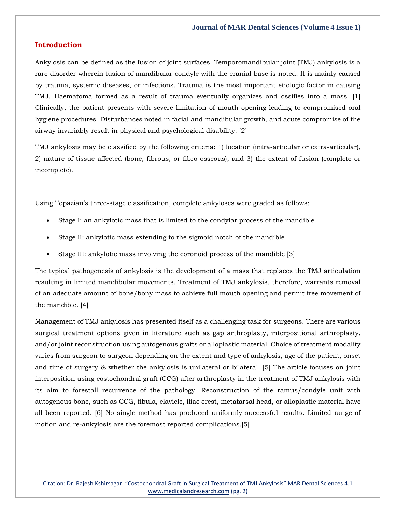#### **Introduction**

Ankylosis can be defined as the fusion of joint surfaces. Temporomandibular joint (TMJ) ankylosis is a rare disorder wherein fusion of mandibular condyle with the cranial base is noted. It is mainly caused by trauma, systemic diseases, or infections. Trauma is the most important etiologic factor in causing TMJ. Haematoma formed as a result of trauma eventually organizes and ossifies into a mass. [1] Clinically, the patient presents with severe limitation of mouth opening leading to compromised oral hygiene procedures. Disturbances noted in facial and mandibular growth, and acute compromise of the airway invariably result in physical and psychological disability. [2]

TMJ ankylosis may be classified by the following criteria: 1) location (intra-articular or extra-articular), 2) nature of tissue affected (bone, fibrous, or fibro-osseous), and 3) the extent of fusion (complete or incomplete).

Using Topazian's three-stage classification, complete ankyloses were graded as follows:

- Stage I: an ankylotic mass that is limited to the condylar process of the mandible
- Stage II: ankylotic mass extending to the sigmoid notch of the mandible
- Stage III: ankylotic mass involving the coronoid process of the mandible [3]

The typical pathogenesis of ankylosis is the development of a mass that replaces the TMJ articulation resulting in limited mandibular movements. Treatment of TMJ ankylosis, therefore, warrants removal of an adequate amount of bone/bony mass to achieve full mouth opening and permit free movement of the mandible. [4]

Management of TMJ ankylosis has presented itself as a challenging task for surgeons. There are various surgical treatment options given in literature such as gap arthroplasty, interpositional arthroplasty, and/or joint reconstruction using autogenous grafts or alloplastic material. Choice of treatment modality varies from surgeon to surgeon depending on the extent and type of ankylosis, age of the patient, onset and time of surgery & whether the ankylosis is unilateral or bilateral. [5] The article focuses on joint interposition using costochondral graft (CCG) after arthroplasty in the treatment of TMJ ankylosis with its aim to forestall recurrence of the pathology. Reconstruction of the ramus/condyle unit with autogenous bone, such as CCG, fibula, clavicle, iliac crest, metatarsal head, or alloplastic material have all been reported. [6] No single method has produced uniformly successful results. Limited range of motion and re-ankylosis are the foremost reported complications.[5]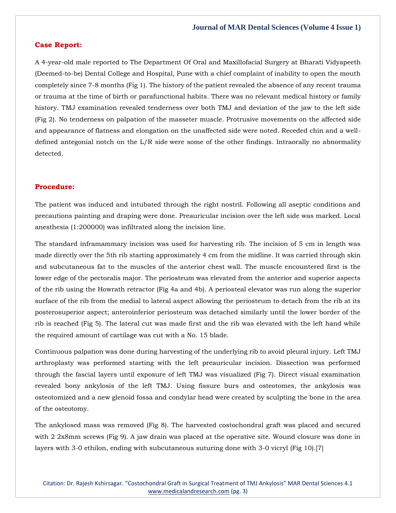#### **Case Report:**

A 4-year-old male reported to The Department Of Oral and Maxillofacial Surgery at Bharati Vidyapeeth (Deemed-to-be) Dental College and Hospital, Pune with a chief complaint of inability to open the mouth completely since 7-8 months (Fig 1). The history of the patient revealed the absence of any recent trauma or trauma at the time of birth or parafunctional habits*.* There was no relevant medical history or family history. TMJ examination revealed tenderness over both TMJ and deviation of the jaw to the left side (Fig 2). No tenderness on palpation of the masseter muscle. Protrusive movements on the affected side and appearance of flatness and elongation on the unaffected side were noted. Receded chin and a welldefined antegonial notch on the  $L/R$  side were some of the other findings. Intraorally no abnormality detected.

#### **Procedure:**

The patient was induced and intubated through the right nostril. Following all aseptic conditions and precautions painting and draping were done. Preauricular incision over the left side was marked. Local anesthesia (1:200000) was infiltrated along the incision line.

The standard inframammary incision was used for harvesting rib. The incision of 5 cm in length was made directly over the 5th rib starting approximately 4 cm from the midline. It was carried through skin and subcutaneous fat to the muscles of the anterior chest wall. The muscle encountered first is the lower edge of the pectoralis major. The periosteum was elevated from the anterior and superior aspects of the rib using the Howrath retractor (Fig 4a and 4b). A periosteal elevator was run along the superior surface of the rib from the medial to lateral aspect allowing the periosteum to detach from the rib at its posterosuperior aspect; anteroinferior periosteum was detached similarly until the lower border of the rib is reached (Fig 5). The lateral cut was made first and the rib was elevated with the left hand while the required amount of cartilage was cut with a No. 15 blade.

Continuous palpation was done during harvesting of the underlying rib to avoid pleural injury. Left TMJ arthroplasty was performed starting with the left preauricular incision. Dissection was performed through the fascial layers until exposure of left TMJ was visualized (Fig 7). Direct visual examination revealed bony ankylosis of the left TMJ. Using fissure burs and osteotomes, the ankylosis was osteotomized and a new glenoid fossa and condylar head were created by sculpting the bone in the area of the osteotomy.

The ankylosed mass was removed (Fig 8). The harvested costochondral graft was placed and secured with 2 2x8mm screws (Fig 9). A jaw drain was placed at the operative site. Wound closure was done in layers with 3-0 ethilon, ending with subcutaneous suturing done with 3-0 vicryl (Fig 10).[7]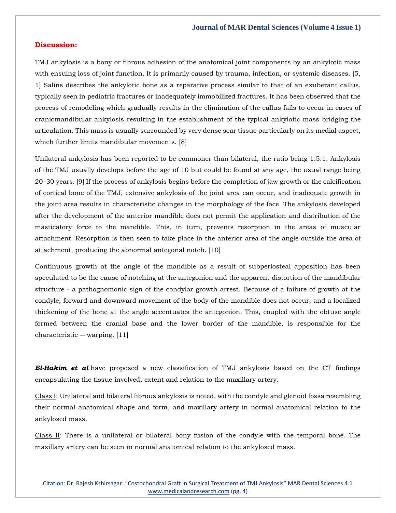#### **Discussion:**

TMJ ankylosis is a bony or fibrous adhesion of the anatomical joint components by an ankylotic mass with ensuing loss of joint function. It is primarily caused by trauma, infection, or systemic diseases. [5, 1] Salins describes the ankylotic bone as a reparative process similar to that of an exuberant callus, typically seen in pediatric fractures or inadequately immobilized fractures. It has been observed that the process of remodeling which gradually results in the elimination of the callus fails to occur in cases of craniomandibular ankylosis resulting in the establishment of the typical ankylotic mass bridging the articulation. This mass is usually surrounded by very dense scar tissue particularly on its medial aspect, which further limits mandibular movements. [8]

Unilateral ankylosis has been reported to be commoner than bilateral, the ratio being 1.5:1. Ankylosis of the TMJ usually develops before the age of 10 but could be found at any age, the usual range being 20–30 years. [9] If the process of ankylosis begins before the completion of jaw growth or the calcification of cortical bone of the TMJ, extensive ankylosis of the joint area can occur, and inadequate growth in the joint area results in characteristic changes in the morphology of the face. The ankylosis developed after the development of the anterior mandible does not permit the application and distribution of the masticatory force to the mandible. This, in turn, prevents resorption in the areas of muscular attachment. Resorption is then seen to take place in the anterior area of the angle outside the area of attachment, producing the abnormal antegonal notch. [10]

Continuous growth at the angle of the mandible as a result of subperiosteal apposition has been speculated to be the cause of notching at the antegonion and the apparent distortion of the mandibular structure - a pathognomonic sign of the condylar growth arrest. Because of a failure of growth at the condyle, forward and downward movement of the body of the mandible does not occur, and a localized thickening of the bone at the angle accentuates the antegonion. This, coupled with the obtuse angle formed between the cranial base and the lower border of the mandible, is responsible for the characteristic ― warping. [11]

*El-Hakim et al* have proposed a new classification of TMJ ankylosis based on the CT findings encapsulating the tissue involved, extent and relation to the maxillary artery.

Class I: Unilateral and bilateral fibrous ankylosis is noted, with the condyle and glenoid fossa resembling their normal anatomical shape and form, and maxillary artery in normal anatomical relation to the ankylosed mass.

Class II: There is a unilateral or bilateral bony fusion of the condyle with the temporal bone. The maxillary artery can be seen in normal anatomical relation to the ankylosed mass.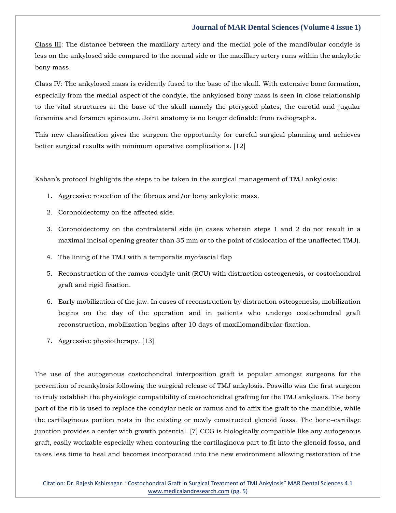Class III: The distance between the maxillary artery and the medial pole of the mandibular condyle is less on the ankylosed side compared to the normal side or the maxillary artery runs within the ankylotic bony mass.

Class IV: The ankylosed mass is evidently fused to the base of the skull. With extensive bone formation, especially from the medial aspect of the condyle, the ankylosed bony mass is seen in close relationship to the vital structures at the base of the skull namely the pterygoid plates, the carotid and jugular foramina and foramen spinosum. Joint anatomy is no longer definable from radiographs.

This new classification gives the surgeon the opportunity for careful surgical planning and achieves better surgical results with minimum operative complications. [12]

Kaban's protocol highlights the steps to be taken in the surgical management of TMJ ankylosis:

- 1. Aggressive resection of the fibrous and/or bony ankylotic mass.
- 2. Coronoidectomy on the affected side.
- 3. Coronoidectomy on the contralateral side (in cases wherein steps 1 and 2 do not result in a maximal incisal opening greater than 35 mm or to the point of dislocation of the unaffected TMJ).
- 4. The lining of the TMJ with a temporalis myofascial flap
- 5. Reconstruction of the ramus-condyle unit (RCU) with distraction osteogenesis, or costochondral graft and rigid fixation.
- 6. Early mobilization of the jaw. In cases of reconstruction by distraction osteogenesis, mobilization begins on the day of the operation and in patients who undergo costochondral graft reconstruction, mobilization begins after 10 days of maxillomandibular fixation.
- 7. Aggressive physiotherapy. [13]

The use of the autogenous costochondral interposition graft is popular amongst surgeons for the prevention of reankylosis following the surgical release of TMJ ankylosis. Poswillo was the first surgeon to truly establish the physiologic compatibility of costochondral grafting for the TMJ ankylosis. The bony part of the rib is used to replace the condylar neck or ramus and to affix the graft to the mandible, while the cartilaginous portion rests in the existing or newly constructed glenoid fossa. The bone–cartilage junction provides a center with growth potential. [7] CCG is biologically compatible like any autogenous graft, easily workable especially when contouring the cartilaginous part to fit into the glenoid fossa, and takes less time to heal and becomes incorporated into the new environment allowing restoration of the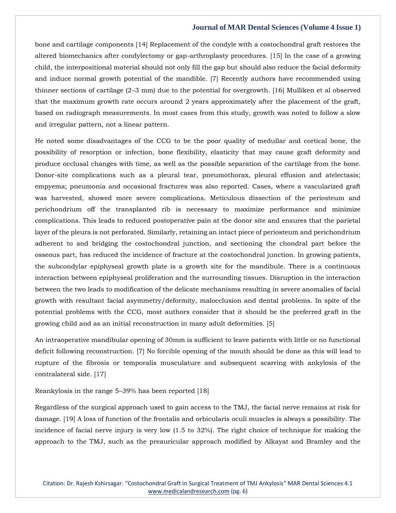bone and cartilage components [14] Replacement of the condyle with a costochondral graft restores the altered biomechanics after condylectomy or gap-arthroplasty procedures. [15] In the case of a growing child, the interpositional material should not only fill the gap but should also reduce the facial deformity and induce normal growth potential of the mandible. [7] Recently authors have recommended using thinner sections of cartilage (2–3 mm) due to the potential for overgrowth. [16] Mulliken et al observed that the maximum growth rate occurs around 2 years approximately after the placement of the graft, based on radiograph measurements. In most cases from this study, growth was noted to follow a slow and irregular pattern, not a linear pattern.

He noted some disadvantages of the CCG to be the poor quality of medullar and cortical bone, the possibility of resorption or infection, bone flexibility, elasticity that may cause graft deformity and produce occlusal changes with time, as well as the possible separation of the cartilage from the bone. Donor-site complications such as a pleural tear, pneumothorax, pleural effusion and atelectasis; empyema; pneumonia and occasional fractures was also reported. Cases, where a vascularized graft was harvested, showed more severe complications. Meticulous dissection of the periosteum and perichondrium off the transplanted rib is necessary to maximize performance and minimize complications. This leads to reduced postoperative pain at the donor site and ensures that the parietal layer of the pleura is not perforated. Similarly, retaining an intact piece of periosteum and perichondrium adherent to and bridging the costochondral junction, and sectioning the chondral part before the osseous part, has reduced the incidence of fracture at the costochondral junction. In growing patients, the subcondylar epiphyseal growth plate is a growth site for the mandibule. There is a continuous interaction between epiphyseal proliferation and the surrounding tissues. Disruption in the interaction between the two leads to modification of the delicate mechanisms resulting in severe anomalies of facial growth with resultant facial asymmetry/deformity, malocclusion and dental problems. In spite of the potential problems with the CCG, most authors consider that it should be the preferred graft in the growing child and as an initial reconstruction in many adult deformities. [5]

An intraoperative mandibular opening of 30mm is sufficient to leave patients with little or no functional deficit following reconstruction. [7] No forcible opening of the mouth should be done as this will lead to rupture of the fibrosis or temporalis musculature and subsequent scarring with ankylosis of the contralateral side. [17]

Reankylosis in the range 5–39% has been reported [18]

Regardless of the surgical approach used to gain access to the TMJ, the facial nerve remains at risk for damage. [19] A loss of function of the frontalis and orbicularis oculi muscles is always a possibility. The incidence of facial nerve injury is very low (1.5 to 32%). The right choice of technique for making the approach to the TMJ, such as the preauricular approach modified by Alkayat and Bramley and the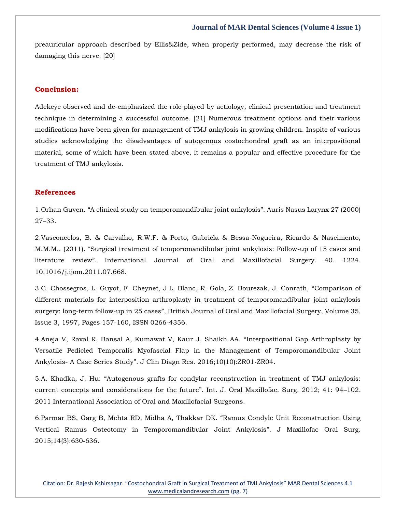preauricular approach described by Ellis&Zide, when properly performed, may decrease the risk of damaging this nerve. [20]

## **Conclusion:**

Adekeye observed and de-emphasized the role played by aetiology, clinical presentation and treatment technique in determining a successful outcome. [21] Numerous treatment options and their various modifications have been given for management of TMJ ankylosis in growing children. Inspite of various studies acknowledging the disadvantages of autogenous costochondral graft as an interpositional material, some of which have been stated above, it remains a popular and effective procedure for the treatment of TMJ ankylosis.

## **References**

1.[Orhan Guven. "A clinical study on temporomandibular joint ankylosis". Auris Nasus Larynx 27 \(2000\)](https://www.google.com/search?q=A+clinical+study+on+temporomandibular+joint+ankylosis&oq=A+clinical+study+on+temporomandibular+joint+ankylosis&aqs=chrome..69i57.489j0j7&sourceid=chrome&ie=UTF-8)  27–[33.](https://www.google.com/search?q=A+clinical+study+on+temporomandibular+joint+ankylosis&oq=A+clinical+study+on+temporomandibular+joint+ankylosis&aqs=chrome..69i57.489j0j7&sourceid=chrome&ie=UTF-8)

2[.Vasconcelos, B. & Carvalho, R.W.F. & Porto, Gabriela & Bessa-Nogueira, Ricardo & Nascimento,](https://www.google.com/search?q=Surgical+treatment+of+temporomandibular+joint+ankylosis%3A+Follow-up+of+15+cases+and+literature+review&sxsrf=AOaemvKAbkV1avVMDP9GOKX7lNPD7okAyA%3A1637580626235&ei=Un-bYer4DZe-3LUP77GyiAk&ved=0ahUKEwjq6ZGc76v0AhUXH7cAHe-YDJEQ4dUDCA4&uact=5&oq=Surgical+treatment+of+temporomandibular+joint+ankylosis%3A+Follow-up+of+15+cases+and+literature+review&gs_lcp=Cgdnd3Mtd2l6EAMyBAgjECc6BwgjEOoCECdKBAhBGABQkgZYkgZgwghoAXAAeACAAaACiAGgApIBAzItMZgBAKABAaABArABCsABAQ&sclient=gws-wiz)  [M.M.M.. \(2011\). "Surgical treatment of temporomandibular joint ankylosis: Follow](https://www.google.com/search?q=Surgical+treatment+of+temporomandibular+joint+ankylosis%3A+Follow-up+of+15+cases+and+literature+review&sxsrf=AOaemvKAbkV1avVMDP9GOKX7lNPD7okAyA%3A1637580626235&ei=Un-bYer4DZe-3LUP77GyiAk&ved=0ahUKEwjq6ZGc76v0AhUXH7cAHe-YDJEQ4dUDCA4&uact=5&oq=Surgical+treatment+of+temporomandibular+joint+ankylosis%3A+Follow-up+of+15+cases+and+literature+review&gs_lcp=Cgdnd3Mtd2l6EAMyBAgjECc6BwgjEOoCECdKBAhBGABQkgZYkgZgwghoAXAAeACAAaACiAGgApIBAzItMZgBAKABAaABArABCsABAQ&sclient=gws-wiz)-up of 15 cases and [literature review". International Journal of Oral and Maxi](https://www.google.com/search?q=Surgical+treatment+of+temporomandibular+joint+ankylosis%3A+Follow-up+of+15+cases+and+literature+review&sxsrf=AOaemvKAbkV1avVMDP9GOKX7lNPD7okAyA%3A1637580626235&ei=Un-bYer4DZe-3LUP77GyiAk&ved=0ahUKEwjq6ZGc76v0AhUXH7cAHe-YDJEQ4dUDCA4&uact=5&oq=Surgical+treatment+of+temporomandibular+joint+ankylosis%3A+Follow-up+of+15+cases+and+literature+review&gs_lcp=Cgdnd3Mtd2l6EAMyBAgjECc6BwgjEOoCECdKBAhBGABQkgZYkgZgwghoAXAAeACAAaACiAGgApIBAzItMZgBAKABAaABArABCsABAQ&sclient=gws-wiz)llofacial Surgery. 40. 1224. [10.1016/j.ijom.2011.07.668.](https://www.google.com/search?q=Surgical+treatment+of+temporomandibular+joint+ankylosis%3A+Follow-up+of+15+cases+and+literature+review&sxsrf=AOaemvKAbkV1avVMDP9GOKX7lNPD7okAyA%3A1637580626235&ei=Un-bYer4DZe-3LUP77GyiAk&ved=0ahUKEwjq6ZGc76v0AhUXH7cAHe-YDJEQ4dUDCA4&uact=5&oq=Surgical+treatment+of+temporomandibular+joint+ankylosis%3A+Follow-up+of+15+cases+and+literature+review&gs_lcp=Cgdnd3Mtd2l6EAMyBAgjECc6BwgjEOoCECdKBAhBGABQkgZYkgZgwghoAXAAeACAAaACiAGgApIBAzItMZgBAKABAaABArABCsABAQ&sclient=gws-wiz)

3[.C. Chossegros, L. Guyot, F. Cheynet, J.L. Blanc, R. Gola, Z. Bourezak, J. Conrath,](https://www.google.com/search?q=Comparison+of+different+materials+for+interposition+arthroplasty+in+treatment+of+temporomandibular+joint+ankylosis+surgery%3A+long-term+follow-up+in+25+cases&sxsrf=AOaemvL1dSC65DtLHgsF4SsW3NkNtBuMXA%3A1637580611912&ei=Q3-bYdOUN63Xz7sPxdey-AY&ved=0ahUKEwiTwqeV76v0AhWt63MBHcWrDG8Q4dUDCA4&uact=5&oq=Comparison+of+different+materials+for+interposition+arthroplasty+in+treatment+of+temporomandibular+joint+ankylosis+surgery%3A+long-term+follow-up+in+25+cases&gs_lcp=Cgdnd3Mtd2l6EAMyBwgjEOoCECcyBwgjEOoCECcyBwgjEOoCECcyBwgjEOoCECcyBwgjEOoCECcyBwgjEOoCECcyBwgjEOoCECcyBwgjEOoCECcyBwgjEOoCECcyBwgjEOoCECdKBAhBGABQzQVYzQVglwhoAXAAeACAAQCIAQCSAQCYAQCgAQGgAQKwAQrAAQE&sclient=gws-wiz) "Comparison of [different materials for interposition arthroplasty in treatment of temporomandibular joint ankylosis](https://www.google.com/search?q=Comparison+of+different+materials+for+interposition+arthroplasty+in+treatment+of+temporomandibular+joint+ankylosis+surgery%3A+long-term+follow-up+in+25+cases&sxsrf=AOaemvL1dSC65DtLHgsF4SsW3NkNtBuMXA%3A1637580611912&ei=Q3-bYdOUN63Xz7sPxdey-AY&ved=0ahUKEwiTwqeV76v0AhWt63MBHcWrDG8Q4dUDCA4&uact=5&oq=Comparison+of+different+materials+for+interposition+arthroplasty+in+treatment+of+temporomandibular+joint+ankylosis+surgery%3A+long-term+follow-up+in+25+cases&gs_lcp=Cgdnd3Mtd2l6EAMyBwgjEOoCECcyBwgjEOoCECcyBwgjEOoCECcyBwgjEOoCECcyBwgjEOoCECcyBwgjEOoCECcyBwgjEOoCECcyBwgjEOoCECcyBwgjEOoCECcyBwgjEOoCECdKBAhBGABQzQVYzQVglwhoAXAAeACAAQCIAQCSAQCYAQCgAQGgAQKwAQrAAQE&sclient=gws-wiz)  surgery: long-term follow-up in 25 cases"[, British Journal of Oral and Maxillofacial Surgery, Volume 35,](https://www.google.com/search?q=Comparison+of+different+materials+for+interposition+arthroplasty+in+treatment+of+temporomandibular+joint+ankylosis+surgery%3A+long-term+follow-up+in+25+cases&sxsrf=AOaemvL1dSC65DtLHgsF4SsW3NkNtBuMXA%3A1637580611912&ei=Q3-bYdOUN63Xz7sPxdey-AY&ved=0ahUKEwiTwqeV76v0AhWt63MBHcWrDG8Q4dUDCA4&uact=5&oq=Comparison+of+different+materials+for+interposition+arthroplasty+in+treatment+of+temporomandibular+joint+ankylosis+surgery%3A+long-term+follow-up+in+25+cases&gs_lcp=Cgdnd3Mtd2l6EAMyBwgjEOoCECcyBwgjEOoCECcyBwgjEOoCECcyBwgjEOoCECcyBwgjEOoCECcyBwgjEOoCECcyBwgjEOoCECcyBwgjEOoCECcyBwgjEOoCECcyBwgjEOoCECdKBAhBGABQzQVYzQVglwhoAXAAeACAAQCIAQCSAQCYAQCgAQGgAQKwAQrAAQE&sclient=gws-wiz)  [Issue 3, 1997, Pages 157-160, ISSN 0266-4356.](https://www.google.com/search?q=Comparison+of+different+materials+for+interposition+arthroplasty+in+treatment+of+temporomandibular+joint+ankylosis+surgery%3A+long-term+follow-up+in+25+cases&sxsrf=AOaemvL1dSC65DtLHgsF4SsW3NkNtBuMXA%3A1637580611912&ei=Q3-bYdOUN63Xz7sPxdey-AY&ved=0ahUKEwiTwqeV76v0AhWt63MBHcWrDG8Q4dUDCA4&uact=5&oq=Comparison+of+different+materials+for+interposition+arthroplasty+in+treatment+of+temporomandibular+joint+ankylosis+surgery%3A+long-term+follow-up+in+25+cases&gs_lcp=Cgdnd3Mtd2l6EAMyBwgjEOoCECcyBwgjEOoCECcyBwgjEOoCECcyBwgjEOoCECcyBwgjEOoCECcyBwgjEOoCECcyBwgjEOoCECcyBwgjEOoCECcyBwgjEOoCECcyBwgjEOoCECdKBAhBGABQzQVYzQVglwhoAXAAeACAAQCIAQCSAQCYAQCgAQGgAQKwAQrAAQE&sclient=gws-wiz)

4[.Aneja V, Raval R, Bansal A, Kumawat V, Kaur J, Shaikh AA.](https://www.google.com/search?q=Interpositional+Gap+Arthroplasty+by+Versatile+Pedicled+Temporalis+Myofascial+Flap+in+the+Management+of+Temporomandibular+Joint+Ankylosis-+A+Case+Series+Study&sxsrf=AOaemvJkacscx9Fpr0maD2CB5tIgKpurFw%3A1637580661229&ei=dX-bYbe1DYjD3LUP0N-n8Ak&ved=0ahUKEwj3w-ms76v0AhWIIbcAHdDvCZ4Q4dUDCA4&uact=5&oq=Interpositional+Gap+Arthroplasty+by+Versatile+Pedicled+Temporalis+Myofascial+Flap+in+the+Management+of+Temporomandibular+Joint+Ankylosis-+A+Case+Series+Study&gs_lcp=Cgdnd3Mtd2l6EAMyBwgjEOoCECcyBwgjEOoCECcyBwgjEOoCECcyBwgjEOoCECcyBwgjEOoCECcyBwgjEOoCECcyBwgjEOoCECcyBwgjEOoCECcyBwgjEOoCECcyBwgjEOoCECdKBAhBGABQ2AVY2AVgkghoAXAAeACAAQCIAQCSAQCYAQCgAQGgAQKwAQrAAQE&sclient=gws-wiz) "Interpositional Gap Arthroplasty by [Versatile Pedicled Temporalis Myofascial Flap in the Management of Temporomandibular Joint](https://www.google.com/search?q=Interpositional+Gap+Arthroplasty+by+Versatile+Pedicled+Temporalis+Myofascial+Flap+in+the+Management+of+Temporomandibular+Joint+Ankylosis-+A+Case+Series+Study&sxsrf=AOaemvJkacscx9Fpr0maD2CB5tIgKpurFw%3A1637580661229&ei=dX-bYbe1DYjD3LUP0N-n8Ak&ved=0ahUKEwj3w-ms76v0AhWIIbcAHdDvCZ4Q4dUDCA4&uact=5&oq=Interpositional+Gap+Arthroplasty+by+Versatile+Pedicled+Temporalis+Myofascial+Flap+in+the+Management+of+Temporomandibular+Joint+Ankylosis-+A+Case+Series+Study&gs_lcp=Cgdnd3Mtd2l6EAMyBwgjEOoCECcyBwgjEOoCECcyBwgjEOoCECcyBwgjEOoCECcyBwgjEOoCECcyBwgjEOoCECcyBwgjEOoCECcyBwgjEOoCECcyBwgjEOoCECcyBwgjEOoCECdKBAhBGABQ2AVY2AVgkghoAXAAeACAAQCIAQCSAQCYAQCgAQGgAQKwAQrAAQE&sclient=gws-wiz)  Ankylosis- A Case Series Study"[. J Clin Diagn Res. 2016;10\(10\):ZR01](https://www.google.com/search?q=Interpositional+Gap+Arthroplasty+by+Versatile+Pedicled+Temporalis+Myofascial+Flap+in+the+Management+of+Temporomandibular+Joint+Ankylosis-+A+Case+Series+Study&sxsrf=AOaemvJkacscx9Fpr0maD2CB5tIgKpurFw%3A1637580661229&ei=dX-bYbe1DYjD3LUP0N-n8Ak&ved=0ahUKEwj3w-ms76v0AhWIIbcAHdDvCZ4Q4dUDCA4&uact=5&oq=Interpositional+Gap+Arthroplasty+by+Versatile+Pedicled+Temporalis+Myofascial+Flap+in+the+Management+of+Temporomandibular+Joint+Ankylosis-+A+Case+Series+Study&gs_lcp=Cgdnd3Mtd2l6EAMyBwgjEOoCECcyBwgjEOoCECcyBwgjEOoCECcyBwgjEOoCECcyBwgjEOoCECcyBwgjEOoCECcyBwgjEOoCECcyBwgjEOoCECcyBwgjEOoCECcyBwgjEOoCECdKBAhBGABQ2AVY2AVgkghoAXAAeACAAQCIAQCSAQCYAQCgAQGgAQKwAQrAAQE&sclient=gws-wiz)‐ZR04.

5.A. Khadka, J. Hu: "[Autogenous grafts for condylar reconstruction in treatment of TMJ ankylosis:](https://www.google.com/search?q=Autogenous+grafts+for+condylar+reconstruction+in+treatment+of+TMJ+ankylosis%3A+current+concepts+and+considerations+for+the+future&sxsrf=AOaemvLyusf7wVDfGJCoHaHfO9hHPnZ1Zw%3A1637580698695&ei=mn-bYbTvKdLB3LUPxs2u6AI&ved=0ahUKEwi0pNi-76v0AhXSILcAHcamCy0Q4dUDCA4&oq=Autogenous+grafts+for+condylar+reconstruction+in+treatment+of+TMJ+ankylosis%3A+current+concepts+and+considerations+for+the+future&gs_lcp=Cgdnd3Mtd2l6EAxKBQg8EgExSgQIQRgBUKYGWKELYLcaaAFwAHgAgAEAiAEAkgEAmAEAoAEBwAEB&sclient=gws-wiz)  [current concepts and considerations for the future](https://www.google.com/search?q=Autogenous+grafts+for+condylar+reconstruction+in+treatment+of+TMJ+ankylosis%3A+current+concepts+and+considerations+for+the+future&sxsrf=AOaemvLyusf7wVDfGJCoHaHfO9hHPnZ1Zw%3A1637580698695&ei=mn-bYbTvKdLB3LUPxs2u6AI&ved=0ahUKEwi0pNi-76v0AhXSILcAHcamCy0Q4dUDCA4&oq=Autogenous+grafts+for+condylar+reconstruction+in+treatment+of+TMJ+ankylosis%3A+current+concepts+and+considerations+for+the+future&gs_lcp=Cgdnd3Mtd2l6EAxKBQg8EgExSgQIQRgBUKYGWKELYLcaaAFwAHgAgAEAiAEAkgEAmAEAoAEBwAEB&sclient=gws-wiz)". Int. J. Oral Maxillofac. Surg. 2012; 41: 94–102. [2011 International Association of Oral and Maxillofacial Surgeons.](https://www.google.com/search?q=Autogenous+grafts+for+condylar+reconstruction+in+treatment+of+TMJ+ankylosis%3A+current+concepts+and+considerations+for+the+future&sxsrf=AOaemvLyusf7wVDfGJCoHaHfO9hHPnZ1Zw%3A1637580698695&ei=mn-bYbTvKdLB3LUPxs2u6AI&ved=0ahUKEwi0pNi-76v0AhXSILcAHcamCy0Q4dUDCA4&oq=Autogenous+grafts+for+condylar+reconstruction+in+treatment+of+TMJ+ankylosis%3A+current+concepts+and+considerations+for+the+future&gs_lcp=Cgdnd3Mtd2l6EAxKBQg8EgExSgQIQRgBUKYGWKELYLcaaAFwAHgAgAEAiAEAkgEAmAEAoAEBwAEB&sclient=gws-wiz)

6[.Parmar BS, Garg B, Mehta RD, Midha A, Thakkar DK.](https://www.google.com/search?q=Ramus+Condyle+Unit+Reconstruction+Using+Vertical+Ramus+Osteotomy+in+Temporomandibular+Joint+Ankylosis&sxsrf=AOaemvIqlPqT-me17TmDI517-nnFT3wM4Q%3A1637580715105&ei=q3-bYe3uBeniz7sPiI2VmAM&ved=0ahUKEwit8MHG76v0AhVp8XMBHYhGBTMQ4dUDCA4&uact=5&oq=Ramus+Condyle+Unit+Reconstruction+Using+Vertical+Ramus+Osteotomy+in+Temporomandibular+Joint+Ankylosis&gs_lcp=Cgdnd3Mtd2l6EAMyBwgjEOoCECcyBwgjEOoCECcyBwgjEOoCECcyBwgjEOoCECcyBwgjEOoCECcyBwgjEOoCECcyBwgjEOoCECcyBwgjEOoCECcyBwgjEOoCECcyBwgjEOoCECdKBAhBGABQuAZYuAZg_AhoAXAAeACAAQCIAQCSAQCYAQCgAQGgAQKwAQrAAQE&sclient=gws-wiz) "Ramus Condyle Unit Reconstruction Using [Vertical Ramus Osteotomy in Temporomandibular Joint Ankylosis](https://www.google.com/search?q=Ramus+Condyle+Unit+Reconstruction+Using+Vertical+Ramus+Osteotomy+in+Temporomandibular+Joint+Ankylosis&sxsrf=AOaemvIqlPqT-me17TmDI517-nnFT3wM4Q%3A1637580715105&ei=q3-bYe3uBeniz7sPiI2VmAM&ved=0ahUKEwit8MHG76v0AhVp8XMBHYhGBTMQ4dUDCA4&uact=5&oq=Ramus+Condyle+Unit+Reconstruction+Using+Vertical+Ramus+Osteotomy+in+Temporomandibular+Joint+Ankylosis&gs_lcp=Cgdnd3Mtd2l6EAMyBwgjEOoCECcyBwgjEOoCECcyBwgjEOoCECcyBwgjEOoCECcyBwgjEOoCECcyBwgjEOoCECcyBwgjEOoCECcyBwgjEOoCECcyBwgjEOoCECcyBwgjEOoCECdKBAhBGABQuAZYuAZg_AhoAXAAeACAAQCIAQCSAQCYAQCgAQGgAQKwAQrAAQE&sclient=gws-wiz)". J Maxillofac Oral Surg. [2015;14\(3\):630](https://www.google.com/search?q=Ramus+Condyle+Unit+Reconstruction+Using+Vertical+Ramus+Osteotomy+in+Temporomandibular+Joint+Ankylosis&sxsrf=AOaemvIqlPqT-me17TmDI517-nnFT3wM4Q%3A1637580715105&ei=q3-bYe3uBeniz7sPiI2VmAM&ved=0ahUKEwit8MHG76v0AhVp8XMBHYhGBTMQ4dUDCA4&uact=5&oq=Ramus+Condyle+Unit+Reconstruction+Using+Vertical+Ramus+Osteotomy+in+Temporomandibular+Joint+Ankylosis&gs_lcp=Cgdnd3Mtd2l6EAMyBwgjEOoCECcyBwgjEOoCECcyBwgjEOoCECcyBwgjEOoCECcyBwgjEOoCECcyBwgjEOoCECcyBwgjEOoCECcyBwgjEOoCECcyBwgjEOoCECcyBwgjEOoCECdKBAhBGABQuAZYuAZg_AhoAXAAeACAAQCIAQCSAQCYAQCgAQGgAQKwAQrAAQE&sclient=gws-wiz)‐636.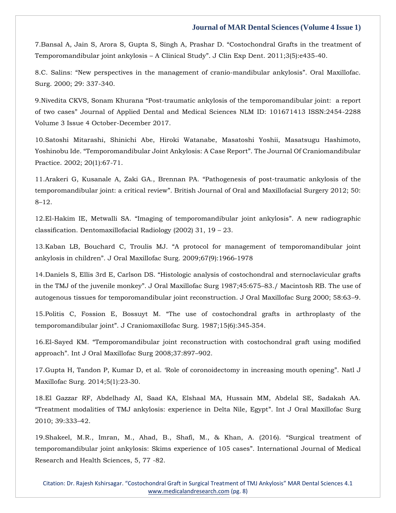7[.Bansal A, Jain S, Arora S, Gupta S, Singh A, Prashar D.](https://www.google.com/search?q=Costochondral+Grafts+in+the+treatment+of+Temporomandibular+joint+ankylosis+%E2%80%93+A+Clinical+Study&sxsrf=AOaemvLtTig1oufwEnZ7kFW2GpCFgMbtPg%3A1637580790386&ei=9n-bYZCKF7G0mgf2lrDgCQ&ved=0ahUKEwiQ3bTq76v0AhUxmuYKHXYLDJwQ4dUDCA4&uact=5&oq=Costochondral+Grafts+in+the+treatment+of+Temporomandibular+joint+ankylosis+%E2%80%93+A+Clinical+Study&gs_lcp=Cgdnd3Mtd2l6EAMyBwgjEOoCECcyBwgjEOoCECcyBwgjEOoCECcyBwgjEOoCECcyBwgjEOoCECcyBwgjEOoCECcyBwgjEOoCECcyBwgjEOoCECcyBwgjEOoCECcyBwgjEOoCECdKBAhBGABQkghYkghguwxoAXAAeACAAQCIAQCSAQCYAQCgAQGgAQKwAQrAAQE&sclient=gws-wiz) "Costochondral Grafts in the treatment of Temporomandibular joint ankylosis – A Clinical Study"[. J Clin Exp Dent. 2011;3\(5\):e435-40.](https://www.google.com/search?q=Costochondral+Grafts+in+the+treatment+of+Temporomandibular+joint+ankylosis+%E2%80%93+A+Clinical+Study&sxsrf=AOaemvLtTig1oufwEnZ7kFW2GpCFgMbtPg%3A1637580790386&ei=9n-bYZCKF7G0mgf2lrDgCQ&ved=0ahUKEwiQ3bTq76v0AhUxmuYKHXYLDJwQ4dUDCA4&uact=5&oq=Costochondral+Grafts+in+the+treatment+of+Temporomandibular+joint+ankylosis+%E2%80%93+A+Clinical+Study&gs_lcp=Cgdnd3Mtd2l6EAMyBwgjEOoCECcyBwgjEOoCECcyBwgjEOoCECcyBwgjEOoCECcyBwgjEOoCECcyBwgjEOoCECcyBwgjEOoCECcyBwgjEOoCECcyBwgjEOoCECcyBwgjEOoCECdKBAhBGABQkghYkghguwxoAXAAeACAAQCIAQCSAQCYAQCgAQGgAQKwAQrAAQE&sclient=gws-wiz)

8.C. Salins: "[New perspectives in the management of cranio-mandibular ankylosis](https://www.google.com/search?q=New+perspectives+in+the+management+of+cranio-mandibular+ankylosis&sxsrf=AOaemvKvQJK35ebSilzZ3MFkg2F32ykjWA%3A1637581431017&ei=d4KbYfUjtZnj4Q_P16DwBQ&ved=0ahUKEwi1u_Gb8qv0AhW1zDgGHc8rCF4Q4dUDCA4&uact=5&oq=New+perspectives+in+the+management+of+cranio-mandibular+ankylosis&gs_lcp=Cgdnd3Mtd2l6EAM6BwgjEOoCECdKBAhBGABQgwZYgwZg-AhoAXACeACAAZkCiAGZApIBAzItMZgBAKABAaABArABCsABAQ&sclient=gws-wiz)". Oral Maxillofac. [Surg. 2000; 29: 337-340.](https://www.google.com/search?q=New+perspectives+in+the+management+of+cranio-mandibular+ankylosis&sxsrf=AOaemvKvQJK35ebSilzZ3MFkg2F32ykjWA%3A1637581431017&ei=d4KbYfUjtZnj4Q_P16DwBQ&ved=0ahUKEwi1u_Gb8qv0AhW1zDgGHc8rCF4Q4dUDCA4&uact=5&oq=New+perspectives+in+the+management+of+cranio-mandibular+ankylosis&gs_lcp=Cgdnd3Mtd2l6EAM6BwgjEOoCECdKBAhBGABQgwZYgwZg-AhoAXACeACAAZkCiAGZApIBAzItMZgBAKABAaABArABCsABAQ&sclient=gws-wiz)

9.Nivedita CKVS, Sonam Khurana "[Post-traumatic ankylosis of the temporomandibular joint: a report](https://www.google.com/search?q=Post-traumatic+ankylosis+of+the+temporomandibular+joint%3A++a+report+of+two+cases&sxsrf=AOaemvL0C9T-j3CkEu30v-Y0oUTBzZRyWw%3A1637581451595&ei=i4KbYcjYI-6e4-EPwoe22Ac&ved=0ahUKEwiIytml8qv0AhVuzzgGHcKDDXsQ4dUDCA4&uact=5&oq=Post-traumatic+ankylosis+of+the+temporomandibular+joint%3A++a+report+of+two+cases&gs_lcp=Cgdnd3Mtd2l6EAM6BwgjEOoCECdKBAhBGABQ6QVY6QVg-AdoAXAAeACAAfoBiAH6AZIBAzItMZgBAKABAaABArABCsABAQ&sclient=gws-wiz)  of two cases" [Journal of Applied Dental and Medical Sciences NLM ID: 101671413 ISSN:2454-2288](https://www.google.com/search?q=Post-traumatic+ankylosis+of+the+temporomandibular+joint%3A++a+report+of+two+cases&sxsrf=AOaemvL0C9T-j3CkEu30v-Y0oUTBzZRyWw%3A1637581451595&ei=i4KbYcjYI-6e4-EPwoe22Ac&ved=0ahUKEwiIytml8qv0AhVuzzgGHcKDDXsQ4dUDCA4&uact=5&oq=Post-traumatic+ankylosis+of+the+temporomandibular+joint%3A++a+report+of+two+cases&gs_lcp=Cgdnd3Mtd2l6EAM6BwgjEOoCECdKBAhBGABQ6QVY6QVg-AdoAXAAeACAAfoBiAH6AZIBAzItMZgBAKABAaABArABCsABAQ&sclient=gws-wiz)  [Volume 3 Issue 4 October-December 2017.](https://www.google.com/search?q=Post-traumatic+ankylosis+of+the+temporomandibular+joint%3A++a+report+of+two+cases&sxsrf=AOaemvL0C9T-j3CkEu30v-Y0oUTBzZRyWw%3A1637581451595&ei=i4KbYcjYI-6e4-EPwoe22Ac&ved=0ahUKEwiIytml8qv0AhVuzzgGHcKDDXsQ4dUDCA4&uact=5&oq=Post-traumatic+ankylosis+of+the+temporomandibular+joint%3A++a+report+of+two+cases&gs_lcp=Cgdnd3Mtd2l6EAM6BwgjEOoCECdKBAhBGABQ6QVY6QVg-AdoAXAAeACAAfoBiAH6AZIBAzItMZgBAKABAaABArABCsABAQ&sclient=gws-wiz)

10[.Satoshi Mitarashi, Shinichi Abe, Hiroki Watanabe, Masatoshi Yoshii, Masatsugu Hashimoto,](https://www.google.com/search?q=Temporomandibular+Joint+Ankylosis%3A+A+Case+Report&sxsrf=AOaemvIIBPdP-wkxzOK8W4EEATnMlkWy8w%3A1637581470337&ei=noKbYZ3oE5O84-EPz-aNwAU&ved=0ahUKEwidr9Gu8qv0AhUT3jgGHU9zA1gQ4dUDCA4&uact=5&oq=Temporomandibular+Joint+Ankylosis%3A+A+Case+Report&gs_lcp=Cgdnd3Mtd2l6EAMyCAghEBYQHRAeOgcIIxDqAhAnSgQIQRgAULUFWLUFYO0HaAFwAHgAgAGeAogBngKSAQMyLTGYAQCgAQGgAQKwAQrAAQE&sclient=gws-wiz)  Yoshinobu Ide. "[Temporomandibular Joint Ankylosis: A Case Report](https://www.google.com/search?q=Temporomandibular+Joint+Ankylosis%3A+A+Case+Report&sxsrf=AOaemvIIBPdP-wkxzOK8W4EEATnMlkWy8w%3A1637581470337&ei=noKbYZ3oE5O84-EPz-aNwAU&ved=0ahUKEwidr9Gu8qv0AhUT3jgGHU9zA1gQ4dUDCA4&uact=5&oq=Temporomandibular+Joint+Ankylosis%3A+A+Case+Report&gs_lcp=Cgdnd3Mtd2l6EAMyCAghEBYQHRAeOgcIIxDqAhAnSgQIQRgAULUFWLUFYO0HaAFwAHgAgAGeAogBngKSAQMyLTGYAQCgAQGgAQKwAQrAAQE&sclient=gws-wiz)". The Journal Of Craniomandibular [Practice. 2002; 20\(1\):67-71.](https://www.google.com/search?q=Temporomandibular+Joint+Ankylosis%3A+A+Case+Report&sxsrf=AOaemvIIBPdP-wkxzOK8W4EEATnMlkWy8w%3A1637581470337&ei=noKbYZ3oE5O84-EPz-aNwAU&ved=0ahUKEwidr9Gu8qv0AhUT3jgGHU9zA1gQ4dUDCA4&uact=5&oq=Temporomandibular+Joint+Ankylosis%3A+A+Case+Report&gs_lcp=Cgdnd3Mtd2l6EAMyCAghEBYQHRAeOgcIIxDqAhAnSgQIQRgAULUFWLUFYO0HaAFwAHgAgAGeAogBngKSAQMyLTGYAQCgAQGgAQKwAQrAAQE&sclient=gws-wiz)

11[.Arakeri G, Kusanale A, Zaki GA., Brennan PA.](https://www.google.com/search?q=Pathogenesis+of+post-traumatic+ankylosis+of+the+temporomandibular+joint%3A+a+critical+review&sxsrf=AOaemvLIliU2lYgKqdbhWuj9j05XM0jkgw%3A1637581487892&ei=r4KbYePfNe6C4-EP79Ol-AU&ved=0ahUKEwij84C38qv0AhVuwTgGHe9pCV8Q4dUDCA4&uact=5&oq=Pathogenesis+of+post-traumatic+ankylosis+of+the+temporomandibular+joint%3A+a+critical+review&gs_lcp=Cgdnd3Mtd2l6EAM6BwgjEOoCECdKBAhBGABQgwZYgwZg_AhoAXACeACAAaMCiAGjApIBAzItMZgBAKABAaABArABCsABAQ&sclient=gws-wiz) "Pathogenesis of post-traumatic ankylosis of the temporomandibular joint: a critical review"[. British Journal of Oral and Maxillofacial Surgery 2012; 50:](https://www.google.com/search?q=Pathogenesis+of+post-traumatic+ankylosis+of+the+temporomandibular+joint%3A+a+critical+review&sxsrf=AOaemvLIliU2lYgKqdbhWuj9j05XM0jkgw%3A1637581487892&ei=r4KbYePfNe6C4-EP79Ol-AU&ved=0ahUKEwij84C38qv0AhVuwTgGHe9pCV8Q4dUDCA4&uact=5&oq=Pathogenesis+of+post-traumatic+ankylosis+of+the+temporomandibular+joint%3A+a+critical+review&gs_lcp=Cgdnd3Mtd2l6EAM6BwgjEOoCECdKBAhBGABQgwZYgwZg_AhoAXACeACAAaMCiAGjApIBAzItMZgBAKABAaABArABCsABAQ&sclient=gws-wiz)  8–[12.](https://www.google.com/search?q=Pathogenesis+of+post-traumatic+ankylosis+of+the+temporomandibular+joint%3A+a+critical+review&sxsrf=AOaemvLIliU2lYgKqdbhWuj9j05XM0jkgw%3A1637581487892&ei=r4KbYePfNe6C4-EP79Ol-AU&ved=0ahUKEwij84C38qv0AhVuwTgGHe9pCV8Q4dUDCA4&uact=5&oq=Pathogenesis+of+post-traumatic+ankylosis+of+the+temporomandibular+joint%3A+a+critical+review&gs_lcp=Cgdnd3Mtd2l6EAM6BwgjEOoCECdKBAhBGABQgwZYgwZg_AhoAXACeACAAaMCiAGjApIBAzItMZgBAKABAaABArABCsABAQ&sclient=gws-wiz)

12.El-Hakim IE, Metwalli SA. "[Imaging of temporomandibular joint ankylosis](https://www.google.com/search?q=%E2%80%9CImaging+of+temporomandibular+joint+ankylosis&sxsrf=AOaemvI1o7uFS2R5yXd2BKq3N-bHpytxNg%3A1637581509254&ei=xYKbYbT8DuGJ4-EP8ZCj-AU&ved=0ahUKEwj08pjB8qv0AhXhxDgGHXHICF8Q4dUDCA4&uact=5&oq=%E2%80%9CImaging+of+temporomandibular+joint+ankylosis&gs_lcp=Cgdnd3Mtd2l6EAMyCAghEBYQHRAeMggIIRAWEB0QHjIICCEQFhAdEB4yCAghEBYQHRAeMggIIRAWEB0QHjIICCEQFhAdEB4yCAghEBYQHRAeMggIIRAWEB0QHjIICCEQFhAdEB4yCAghEBYQHRAeOgcIIxDqAhAnSgQIQRgAUJoGWJoGYIoJaAFwAHgAgAGEAogBhAKSAQMyLTGYAQCgAQGgAQKwAQrAAQE&sclient=gws-wiz)". A new radiographic [classification. Dentomaxillofacial Radiology \(2002\) 31, 19](https://www.google.com/search?q=%E2%80%9CImaging+of+temporomandibular+joint+ankylosis&sxsrf=AOaemvI1o7uFS2R5yXd2BKq3N-bHpytxNg%3A1637581509254&ei=xYKbYbT8DuGJ4-EP8ZCj-AU&ved=0ahUKEwj08pjB8qv0AhXhxDgGHXHICF8Q4dUDCA4&uact=5&oq=%E2%80%9CImaging+of+temporomandibular+joint+ankylosis&gs_lcp=Cgdnd3Mtd2l6EAMyCAghEBYQHRAeMggIIRAWEB0QHjIICCEQFhAdEB4yCAghEBYQHRAeMggIIRAWEB0QHjIICCEQFhAdEB4yCAghEBYQHRAeMggIIRAWEB0QHjIICCEQFhAdEB4yCAghEBYQHRAeOgcIIxDqAhAnSgQIQRgAUJoGWJoGYIoJaAFwAHgAgAGEAogBhAKSAQMyLTGYAQCgAQGgAQKwAQrAAQE&sclient=gws-wiz) – 23.

13.Kaban LB, Bouchard C, Troulis MJ. "[A protocol for management of temporomandibular joint](https://www.google.com/search?q=A+protocol+for+management+of+temporomandibular+joint+ankylosis+in+children&sxsrf=AOaemvKyWRgHkMXfldLqsrRNYZAEGeXShg%3A1637581531940&ei=24KbYfnXON-c4-EPv8uy6Ac&ved=0ahUKEwi5sYHM8qv0AhVfzjgGHb-lDH0Q4dUDCA4&uact=5&oq=A+protocol+for+management+of+temporomandibular+joint+ankylosis+in+children&gs_lcp=Cgdnd3Mtd2l6EAM6BwgjEOoCECdKBAhBGABQmQVYmQVg_wdoAXACeACAAbcCiAG3ApIBAzMtMZgBAKABAaABArABCsABAQ&sclient=gws-wiz)  ankylosis in children"[. J Oral Maxillofac Surg. 2009;67\(9\):1966](https://www.google.com/search?q=A+protocol+for+management+of+temporomandibular+joint+ankylosis+in+children&sxsrf=AOaemvKyWRgHkMXfldLqsrRNYZAEGeXShg%3A1637581531940&ei=24KbYfnXON-c4-EPv8uy6Ac&ved=0ahUKEwi5sYHM8qv0AhVfzjgGHb-lDH0Q4dUDCA4&uact=5&oq=A+protocol+for+management+of+temporomandibular+joint+ankylosis+in+children&gs_lcp=Cgdnd3Mtd2l6EAM6BwgjEOoCECdKBAhBGABQmQVYmQVg_wdoAXACeACAAbcCiAG3ApIBAzMtMZgBAKABAaABArABCsABAQ&sclient=gws-wiz)‐1978

14.Daniels S, Ellis 3rd E, Carlson DS. "[Histologic analysis of costochondral and sternoclavicular grafts](https://www.google.com/search?q=Histologic+analysis+of+costochondral+and+sternoclavicular+grafts+in+the+TMJ+of+the+juvenile+monkey&sxsrf=AOaemvIvVbdx5GsbACARf2hSAFutdIYujg%3A1637581550483&ei=7oKbYdXzHJiV4-EP_8yO8AU&ved=0ahUKEwjVou3U8qv0AhWYyjgGHX-mA14Q4dUDCA4&uact=5&oq=Histologic+analysis+of+costochondral+and+sternoclavicular+grafts+in+the+TMJ+of+the+juvenile+monkey&gs_lcp=Cgdnd3Mtd2l6EAMyBwgjEOoCECcyBwgjEOoCECcyBwgjEOoCECcyBwgjEOoCECcyBwgjEOoCECcyBwgjEOoCECcyBwgjEOoCECcyBwgjEOoCECcyBwgjEOoCECcyBwgjEOoCECdKBAhBGABQgQZYgQZg4whoAXACeACAAQCIAQCSAQCYAQCgAQGgAQKwAQrAAQE&sclient=gws-wiz)  in the TMJ of the juvenile monkey"[. J Oral Maxillofac Surg 1987;45:675](https://www.google.com/search?q=Histologic+analysis+of+costochondral+and+sternoclavicular+grafts+in+the+TMJ+of+the+juvenile+monkey&sxsrf=AOaemvIvVbdx5GsbACARf2hSAFutdIYujg%3A1637581550483&ei=7oKbYdXzHJiV4-EP_8yO8AU&ved=0ahUKEwjVou3U8qv0AhWYyjgGHX-mA14Q4dUDCA4&uact=5&oq=Histologic+analysis+of+costochondral+and+sternoclavicular+grafts+in+the+TMJ+of+the+juvenile+monkey&gs_lcp=Cgdnd3Mtd2l6EAMyBwgjEOoCECcyBwgjEOoCECcyBwgjEOoCECcyBwgjEOoCECcyBwgjEOoCECcyBwgjEOoCECcyBwgjEOoCECcyBwgjEOoCECcyBwgjEOoCECcyBwgjEOoCECdKBAhBGABQgQZYgQZg4whoAXACeACAAQCIAQCSAQCYAQCgAQGgAQKwAQrAAQE&sclient=gws-wiz)–83./ Macintosh RB. The use of [autogenous tissues for temporomandibular joint reconstruction. J Oral Maxillofac Surg 2000; 58:63](https://www.google.com/search?q=Histologic+analysis+of+costochondral+and+sternoclavicular+grafts+in+the+TMJ+of+the+juvenile+monkey&sxsrf=AOaemvIvVbdx5GsbACARf2hSAFutdIYujg%3A1637581550483&ei=7oKbYdXzHJiV4-EP_8yO8AU&ved=0ahUKEwjVou3U8qv0AhWYyjgGHX-mA14Q4dUDCA4&uact=5&oq=Histologic+analysis+of+costochondral+and+sternoclavicular+grafts+in+the+TMJ+of+the+juvenile+monkey&gs_lcp=Cgdnd3Mtd2l6EAMyBwgjEOoCECcyBwgjEOoCECcyBwgjEOoCECcyBwgjEOoCECcyBwgjEOoCECcyBwgjEOoCECcyBwgjEOoCECcyBwgjEOoCECcyBwgjEOoCECcyBwgjEOoCECdKBAhBGABQgQZYgQZg4whoAXACeACAAQCIAQCSAQCYAQCgAQGgAQKwAQrAAQE&sclient=gws-wiz)–9.

15.Politis C, Fossion E, Bossuyt M. "[The use of costochondral grafts in arthroplasty of the](https://www.google.com/search?q=The+use+of+costochondral+grafts+in+arthroplasty+of+the+temporomandibular+joint&sxsrf=AOaemvIdAQKqr0fjaxYCfA6RoOiSee6WVw%3A1637581584089&ei=EIObYePfBM2H4-EPzMGEqAk&ved=0ahUKEwjjp_Dk8qv0AhXNwzgGHcwgAZUQ4dUDCA4&uact=5&oq=The+use+of+costochondral+grafts+in+arthroplasty+of+the+temporomandibular+joint&gs_lcp=Cgdnd3Mtd2l6EAM6BwgjEOoCECdKBAhBGABQgAZYgAZg4AhoAXAAeACAAcgCiAHIApIBAzMtMZgBAKABAaABArABCsABAQ&sclient=gws-wiz)  temporomandibular joint"[. J Craniomaxillofac Surg. 1987;15\(6\):345](https://www.google.com/search?q=The+use+of+costochondral+grafts+in+arthroplasty+of+the+temporomandibular+joint&sxsrf=AOaemvIdAQKqr0fjaxYCfA6RoOiSee6WVw%3A1637581584089&ei=EIObYePfBM2H4-EPzMGEqAk&ved=0ahUKEwjjp_Dk8qv0AhXNwzgGHcwgAZUQ4dUDCA4&uact=5&oq=The+use+of+costochondral+grafts+in+arthroplasty+of+the+temporomandibular+joint&gs_lcp=Cgdnd3Mtd2l6EAM6BwgjEOoCECdKBAhBGABQgAZYgAZg4AhoAXAAeACAAcgCiAHIApIBAzMtMZgBAKABAaABArABCsABAQ&sclient=gws-wiz)‐354.

16.El-Sayed KM. "[Temporomandibular joint reconstruction with costochondral graft using modified](https://www.google.com/search?q=Temporomandibular+joint+reconstruction+with+costochondral+graft+using+modified+approach&sxsrf=AOaemvIccVIagcXPym1YUaVMh5jWGToQ5w%3A1637581605031&ei=JYObYaKeAYyc4-EPhMiC0Aw&ved=0ahUKEwjixO7u8qv0AhUMzjgGHQSkAMoQ4dUDCA4&uact=5&oq=Temporomandibular+joint+reconstruction+with+costochondral+graft+using+modified+approach&gs_lcp=Cgdnd3Mtd2l6EAMyBwgjEOoCECcyBwgjEOoCECcyBwgjEOoCECcyBwgjEOoCECcyBwgjEOoCECcyBwgjEOoCECcyBwgjEOoCECcyBwgjEOoCECcyBwgjEOoCECcyBwgjEOoCECdKBAhBGABQ3gVY3gVg_AdoAXACeACAAQCIAQCSAQCYAQCgAQGgAQKwAQrAAQE&sclient=gws-wiz)  approach"[. Int J Oral Maxillofac Surg 2008;37:897](https://www.google.com/search?q=Temporomandibular+joint+reconstruction+with+costochondral+graft+using+modified+approach&sxsrf=AOaemvIccVIagcXPym1YUaVMh5jWGToQ5w%3A1637581605031&ei=JYObYaKeAYyc4-EPhMiC0Aw&ved=0ahUKEwjixO7u8qv0AhUMzjgGHQSkAMoQ4dUDCA4&uact=5&oq=Temporomandibular+joint+reconstruction+with+costochondral+graft+using+modified+approach&gs_lcp=Cgdnd3Mtd2l6EAMyBwgjEOoCECcyBwgjEOoCECcyBwgjEOoCECcyBwgjEOoCECcyBwgjEOoCECcyBwgjEOoCECcyBwgjEOoCECcyBwgjEOoCECcyBwgjEOoCECcyBwgjEOoCECdKBAhBGABQ3gVY3gVg_AdoAXACeACAAQCIAQCSAQCYAQCgAQGgAQKwAQrAAQE&sclient=gws-wiz)–902.

17.Gupta H, Tandon P, Kumar D, et al. '[Role of coronoidectomy in increasing mouth opening](https://www.google.com/search?q=Role+of+coronoidectomy+in+increasing+mouth+opening&sxsrf=AOaemvIOdOqOpbfPlTbFg8GzBcxKpsd7Og%3A1637581621660&ei=NYObYbDQJ_KD4-EPzdyosAw&ved=0ahUKEwjwvuX28qv0AhXywTgGHU0uCsYQ4dUDCA4&uact=5&oq=Role+of+coronoidectomy+in+increasing+mouth+opening&gs_lcp=Cgdnd3Mtd2l6EAMyBwgjEOoCECcyBwgjEOoCECcyBwgjEOoCECcyBwgjEOoCECcyBwgjEOoCECcyBwgjEOoCECcyBwgjEOoCECcyBwgjEOoCECcyBwgjEOoCECcyBwgjEOoCECdKBAhBGABQtgVYtgVgiQhoAXAAeACAAQCIAQCSAQCYAQCgAQGgAQKwAQrAAQE&sclient=gws-wiz)". Natl J [Maxillofac Surg. 2014;5\(1\):23](https://www.google.com/search?q=Role+of+coronoidectomy+in+increasing+mouth+opening&sxsrf=AOaemvIOdOqOpbfPlTbFg8GzBcxKpsd7Og%3A1637581621660&ei=NYObYbDQJ_KD4-EPzdyosAw&ved=0ahUKEwjwvuX28qv0AhXywTgGHU0uCsYQ4dUDCA4&uact=5&oq=Role+of+coronoidectomy+in+increasing+mouth+opening&gs_lcp=Cgdnd3Mtd2l6EAMyBwgjEOoCECcyBwgjEOoCECcyBwgjEOoCECcyBwgjEOoCECcyBwgjEOoCECcyBwgjEOoCECcyBwgjEOoCECcyBwgjEOoCECcyBwgjEOoCECcyBwgjEOoCECdKBAhBGABQtgVYtgVgiQhoAXAAeACAAQCIAQCSAQCYAQCgAQGgAQKwAQrAAQE&sclient=gws-wiz)‐30.

18[.El Gazzar RF, Abdelhady AI, Saad KA, Elshaal MA, Hussain MM, Abdelal SE, Sadakah AA.](https://www.google.com/search?q=Treatment+modalities+of+TMJ+ankylosis%3A+experience+in+Delta+Nile%2C+Egypt&sxsrf=AOaemvIM1AGn1O5Y3wl_92qqPyy0Rin3Mw%3A1637581639722&ei=R4ObYZ_HK9yC4-EP0Ie2kA8&ved=0ahUKEwjfhrT_8qv0AhVcwTgGHdCDDfIQ4dUDCA4&uact=5&oq=Treatment+modalities+of+TMJ+ankylosis%3A+experience+in+Delta+Nile%2C+Egypt&gs_lcp=Cgdnd3Mtd2l6EAM6BwgjEOoCECdKBAhBGABQzQVYzQVg6QdoAXACeACAAZICiAGSApIBAzItMZgBAKABAaABArABCsABAQ&sclient=gws-wiz)  "[Treatment modalities of TMJ ankylosis: experience in Delta Nile, Egypt](https://www.google.com/search?q=Treatment+modalities+of+TMJ+ankylosis%3A+experience+in+Delta+Nile%2C+Egypt&sxsrf=AOaemvIM1AGn1O5Y3wl_92qqPyy0Rin3Mw%3A1637581639722&ei=R4ObYZ_HK9yC4-EP0Ie2kA8&ved=0ahUKEwjfhrT_8qv0AhVcwTgGHdCDDfIQ4dUDCA4&uact=5&oq=Treatment+modalities+of+TMJ+ankylosis%3A+experience+in+Delta+Nile%2C+Egypt&gs_lcp=Cgdnd3Mtd2l6EAM6BwgjEOoCECdKBAhBGABQzQVYzQVg6QdoAXACeACAAZICiAGSApIBAzItMZgBAKABAaABArABCsABAQ&sclient=gws-wiz)". Int J Oral Maxillofac Surg [2010; 39:333](https://www.google.com/search?q=Treatment+modalities+of+TMJ+ankylosis%3A+experience+in+Delta+Nile%2C+Egypt&sxsrf=AOaemvIM1AGn1O5Y3wl_92qqPyy0Rin3Mw%3A1637581639722&ei=R4ObYZ_HK9yC4-EP0Ie2kA8&ved=0ahUKEwjfhrT_8qv0AhVcwTgGHdCDDfIQ4dUDCA4&uact=5&oq=Treatment+modalities+of+TMJ+ankylosis%3A+experience+in+Delta+Nile%2C+Egypt&gs_lcp=Cgdnd3Mtd2l6EAM6BwgjEOoCECdKBAhBGABQzQVYzQVg6QdoAXACeACAAZICiAGSApIBAzItMZgBAKABAaABArABCsABAQ&sclient=gws-wiz)–42.

19.Shakeel, M.R., Imran, M., Ahad, [B., Shafi, M., & Khan, A. \(2016\).](https://www.google.com/search?q=Surgical+treatment+of+temporomandibular+joint+ankylosis%3A+Skims+experience+of+105+cases&sxsrf=AOaemvIkvoNV5L8UpU12p6552AyWdWaJiA%3A1637581659130&ei=W4ObYdC7B_ia4-EPp9G9wAw&ved=0ahUKEwiQ1dSI86v0AhV4zTgGHadoD8gQ4dUDCA4&uact=5&oq=Surgical+treatment+of+temporomandibular+joint+ankylosis%3A+Skims+experience+of+105+cases&gs_lcp=Cgdnd3Mtd2l6EAM6BwgjEOoCECdKBAhBGABQjwVYjwVgowdoAXAAeACAAYQCiAGEApIBAzItMZgBAKABAaABArABCsABAQ&sclient=gws-wiz) "Surgical treatment of [temporomandibular joint ankylosis: Skims experience of 105 cases](https://www.google.com/search?q=Surgical+treatment+of+temporomandibular+joint+ankylosis%3A+Skims+experience+of+105+cases&sxsrf=AOaemvIkvoNV5L8UpU12p6552AyWdWaJiA%3A1637581659130&ei=W4ObYdC7B_ia4-EPp9G9wAw&ved=0ahUKEwiQ1dSI86v0AhV4zTgGHadoD8gQ4dUDCA4&uact=5&oq=Surgical+treatment+of+temporomandibular+joint+ankylosis%3A+Skims+experience+of+105+cases&gs_lcp=Cgdnd3Mtd2l6EAM6BwgjEOoCECdKBAhBGABQjwVYjwVgowdoAXAAeACAAYQCiAGEApIBAzItMZgBAKABAaABArABCsABAQ&sclient=gws-wiz)". International Journal of Medical [Research and Health Sciences, 5, 77 -82.](https://www.google.com/search?q=Surgical+treatment+of+temporomandibular+joint+ankylosis%3A+Skims+experience+of+105+cases&sxsrf=AOaemvIkvoNV5L8UpU12p6552AyWdWaJiA%3A1637581659130&ei=W4ObYdC7B_ia4-EPp9G9wAw&ved=0ahUKEwiQ1dSI86v0AhV4zTgGHadoD8gQ4dUDCA4&uact=5&oq=Surgical+treatment+of+temporomandibular+joint+ankylosis%3A+Skims+experience+of+105+cases&gs_lcp=Cgdnd3Mtd2l6EAM6BwgjEOoCECdKBAhBGABQjwVYjwVgowdoAXAAeACAAYQCiAGEApIBAzItMZgBAKABAaABArABCsABAQ&sclient=gws-wiz)